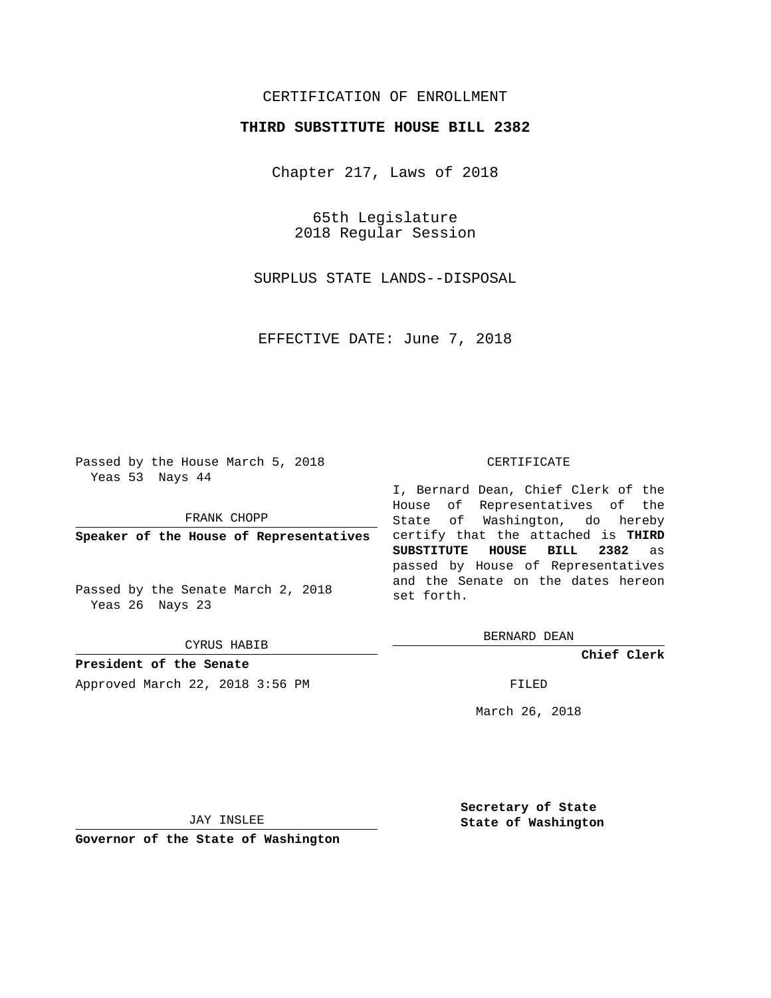### CERTIFICATION OF ENROLLMENT

### **THIRD SUBSTITUTE HOUSE BILL 2382**

Chapter 217, Laws of 2018

65th Legislature 2018 Regular Session

SURPLUS STATE LANDS--DISPOSAL

EFFECTIVE DATE: June 7, 2018

Passed by the House March 5, 2018 Yeas 53 Nays 44

FRANK CHOPP

**Speaker of the House of Representatives**

Passed by the Senate March 2, 2018 Yeas 26 Nays 23

CYRUS HABIB

**President of the Senate** Approved March 22, 2018 3:56 PM FILED

#### CERTIFICATE

I, Bernard Dean, Chief Clerk of the House of Representatives of the State of Washington, do hereby certify that the attached is **THIRD SUBSTITUTE HOUSE BILL 2382** as passed by House of Representatives and the Senate on the dates hereon set forth.

BERNARD DEAN

**Chief Clerk**

March 26, 2018

JAY INSLEE

**Governor of the State of Washington**

**Secretary of State State of Washington**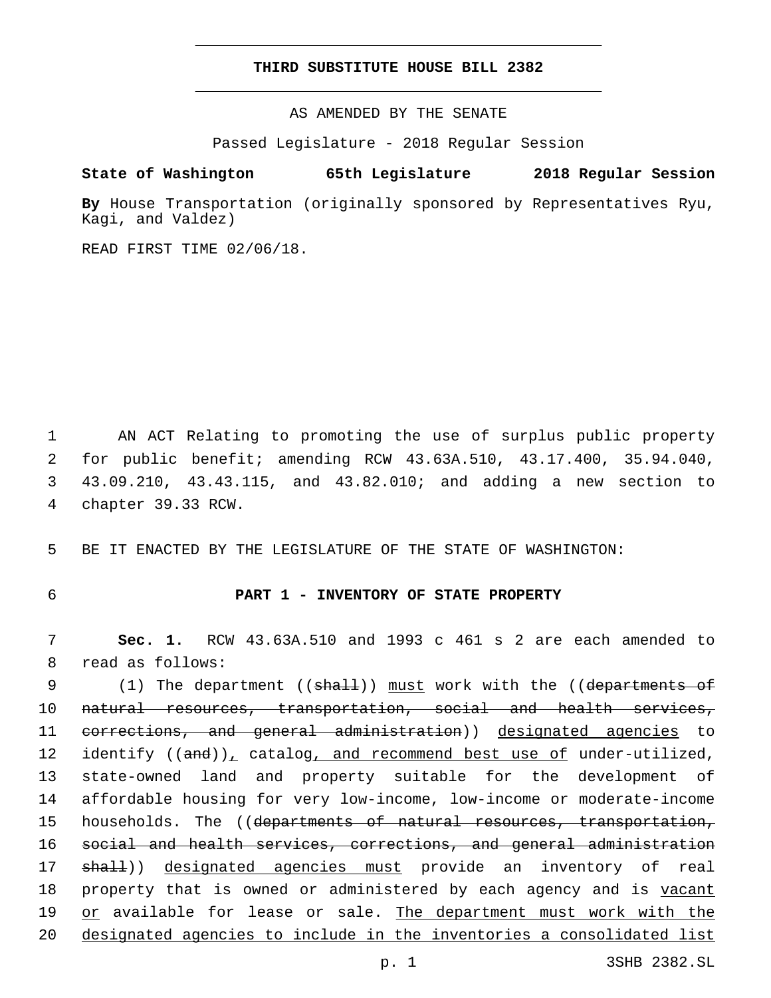### **THIRD SUBSTITUTE HOUSE BILL 2382**

AS AMENDED BY THE SENATE

Passed Legislature - 2018 Regular Session

# **State of Washington 65th Legislature 2018 Regular Session**

**By** House Transportation (originally sponsored by Representatives Ryu, Kagi, and Valdez)

READ FIRST TIME 02/06/18.

 AN ACT Relating to promoting the use of surplus public property for public benefit; amending RCW 43.63A.510, 43.17.400, 35.94.040, 43.09.210, 43.43.115, and 43.82.010; and adding a new section to 4 chapter 39.33 RCW.

5 BE IT ENACTED BY THE LEGISLATURE OF THE STATE OF WASHINGTON:

### 6 **PART 1 - INVENTORY OF STATE PROPERTY**

7 **Sec. 1.** RCW 43.63A.510 and 1993 c 461 s 2 are each amended to 8 read as follows:

9 (1) The department ((shall)) must work with the ((departments of 10 natural resources, transportation, social and health services, 11 <del>corrections, and general administration</del>)) designated agencies to 12 identify ((and)), catalog, and recommend best use of under-utilized, 13 state-owned land and property suitable for the development of 14 affordable housing for very low-income, low-income or moderate-income 15 households. The ((departments of natural resources, transportation, 16 social and health services, corrections, and general administration 17 shall)) designated agencies must provide an inventory of real 18 property that is owned or administered by each agency and is vacant 19 or available for lease or sale. The department must work with the 20 designated agencies to include in the inventories a consolidated list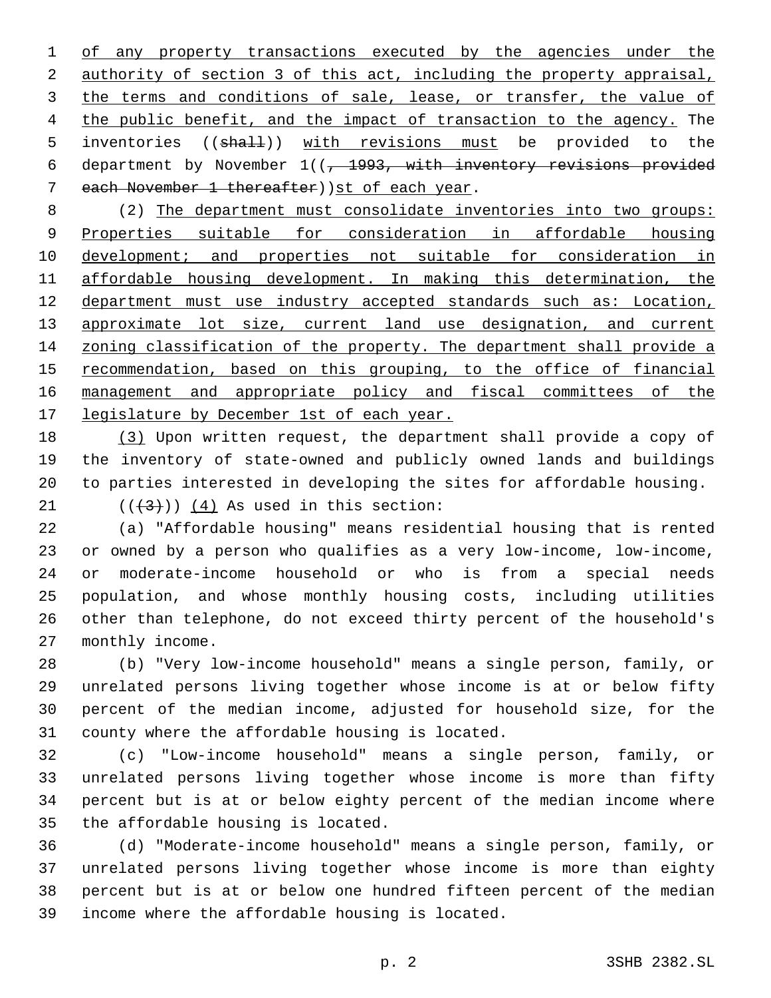of any property transactions executed by the agencies under the authority of section 3 of this act, including the property appraisal, 3 the terms and conditions of sale, lease, or transfer, the value of 4 the public benefit, and the impact of transaction to the agency. The 5 inventories ((shall)) with revisions must be provided to the 6 department by November  $1(( -1993, \text{ with inventory revisions provided})$ 7 each November 1 thereafter))st of each year.

 (2) The department must consolidate inventories into two groups: Properties suitable for consideration in affordable housing development; and properties not suitable for consideration in affordable housing development. In making this determination, the department must use industry accepted standards such as: Location, 13 approximate lot size, current land use designation, and current zoning classification of the property. The department shall provide a 15 recommendation, based on this grouping, to the office of financial management and appropriate policy and fiscal committees of the 17 legislature by December 1st of each year.

 (3) Upon written request, the department shall provide a copy of the inventory of state-owned and publicly owned lands and buildings to parties interested in developing the sites for affordable housing.

21  $((+3))$   $(4)$  As used in this section:

 (a) "Affordable housing" means residential housing that is rented or owned by a person who qualifies as a very low-income, low-income, or moderate-income household or who is from a special needs population, and whose monthly housing costs, including utilities other than telephone, do not exceed thirty percent of the household's 27 monthly income.

 (b) "Very low-income household" means a single person, family, or unrelated persons living together whose income is at or below fifty percent of the median income, adjusted for household size, for the 31 county where the affordable housing is located.

 (c) "Low-income household" means a single person, family, or unrelated persons living together whose income is more than fifty percent but is at or below eighty percent of the median income where 35 the affordable housing is located.

 (d) "Moderate-income household" means a single person, family, or unrelated persons living together whose income is more than eighty percent but is at or below one hundred fifteen percent of the median 39 income where the affordable housing is located.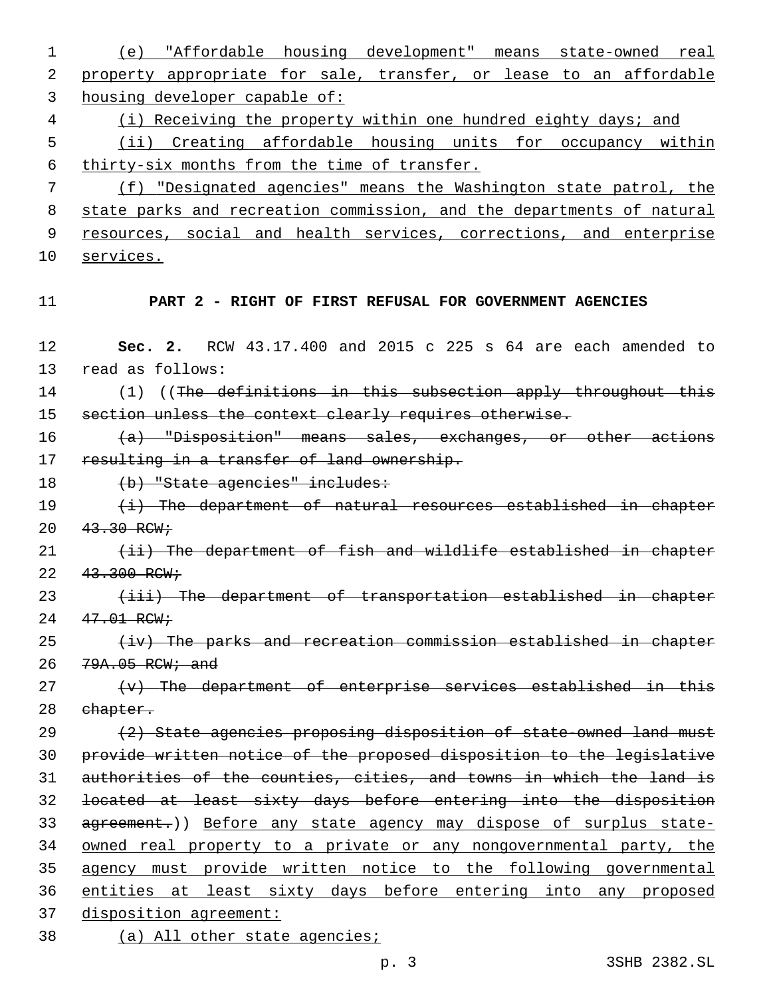1 (e) "Affordable housing development" means state-owned real 2 property appropriate for sale, transfer, or lease to an affordable 3 housing developer capable of: 4 (i) Receiving the property within one hundred eighty days; and 5 (ii) Creating affordable housing units for occupancy within 6 thirty-six months from the time of transfer. 7 (f) "Designated agencies" means the Washington state patrol, the 8 state parks and recreation commission, and the departments of natural 9 resources, social and health services, corrections, and enterprise 10 services. 11 **PART 2 - RIGHT OF FIRST REFUSAL FOR GOVERNMENT AGENCIES** 12 **Sec. 2.** RCW 43.17.400 and 2015 c 225 s 64 are each amended to 13 read as follows: 14 (1) ((The definitions in this subsection apply throughout this 15 section unless the context clearly requires otherwise. 16 (a) "Disposition" means sales, exchanges, or other actions 17 resulting in a transfer of land ownership. 18 (b) "State agencies" includes: 19 (i) The department of natural resources established in chapter  $20 \frac{43.30 \text{ RCW}}{10000 \text{ R/W}}$ 21 (ii) The department of fish and wildlife established in chapter  $22 \frac{43.300 \text{ RCW}}{11}$ 23 (iii) The department of transportation established in chapter 24 47.01 RCW;  $25$  (iv) The parks and recreation commission established in chapter 26 79A.05 RCW; and  $27$  (v) The department of enterprise services established in this 28 ehapter. 29 (2) State agencies proposing disposition of state-owned land must 30 provide written notice of the proposed disposition to the legislative 31 authorities of the counties, cities, and towns in which the land is 32 located at least sixty days before entering into the disposition 33 agreement.)) Before any state agency may dispose of surplus state-34 owned real property to a private or any nongovernmental party, the 35 agency must provide written notice to the following governmental 36 entities at least sixty days before entering into any proposed 37 disposition agreement:

38 (a) All other state agencies;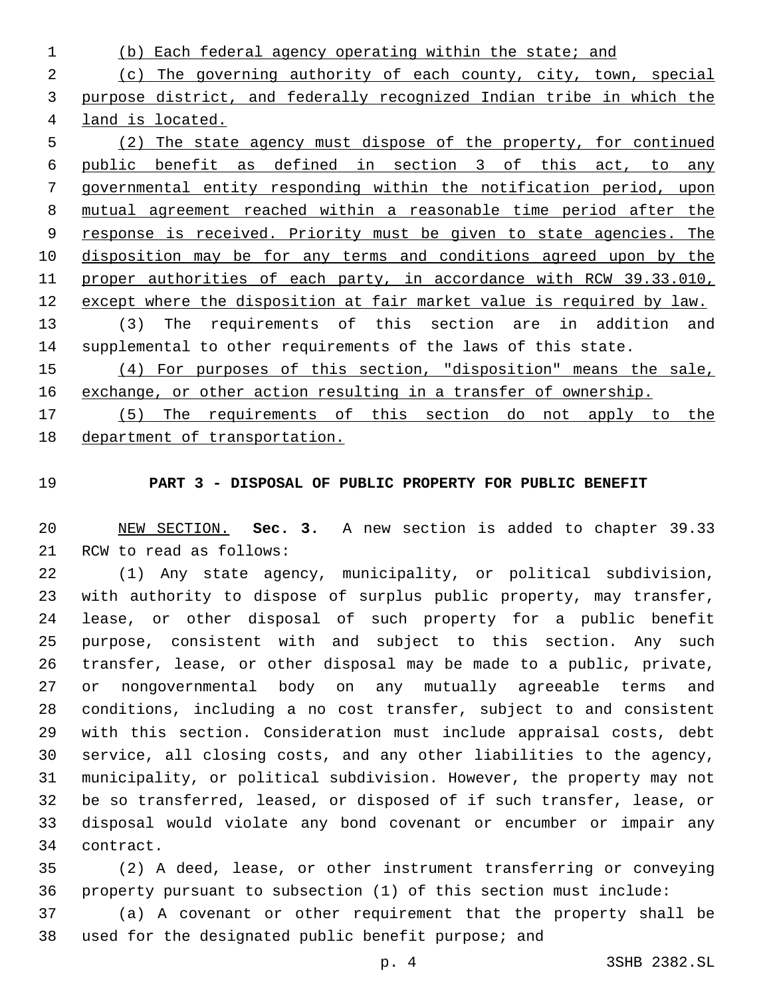(b) Each federal agency operating within the state; and (c) The governing authority of each county, city, town, special purpose district, and federally recognized Indian tribe in which the land is located. (2) The state agency must dispose of the property, for continued public benefit as defined in section 3 of this act, to any governmental entity responding within the notification period, upon

 mutual agreement reached within a reasonable time period after the response is received. Priority must be given to state agencies. The disposition may be for any terms and conditions agreed upon by the proper authorities of each party, in accordance with RCW 39.33.010, except where the disposition at fair market value is required by law.

 (3) The requirements of this section are in addition and supplemental to other requirements of the laws of this state.

 (4) For purposes of this section, "disposition" means the sale, exchange, or other action resulting in a transfer of ownership.

 (5) The requirements of this section do not apply to the department of transportation.

## **PART 3 - DISPOSAL OF PUBLIC PROPERTY FOR PUBLIC BENEFIT**

 NEW SECTION. **Sec. 3.** A new section is added to chapter 39.33 21 RCW to read as follows:

 (1) Any state agency, municipality, or political subdivision, with authority to dispose of surplus public property, may transfer, lease, or other disposal of such property for a public benefit purpose, consistent with and subject to this section. Any such transfer, lease, or other disposal may be made to a public, private, or nongovernmental body on any mutually agreeable terms and conditions, including a no cost transfer, subject to and consistent with this section. Consideration must include appraisal costs, debt service, all closing costs, and any other liabilities to the agency, municipality, or political subdivision. However, the property may not be so transferred, leased, or disposed of if such transfer, lease, or disposal would violate any bond covenant or encumber or impair any 34 contract.

 (2) A deed, lease, or other instrument transferring or conveying property pursuant to subsection (1) of this section must include:

 (a) A covenant or other requirement that the property shall be used for the designated public benefit purpose; and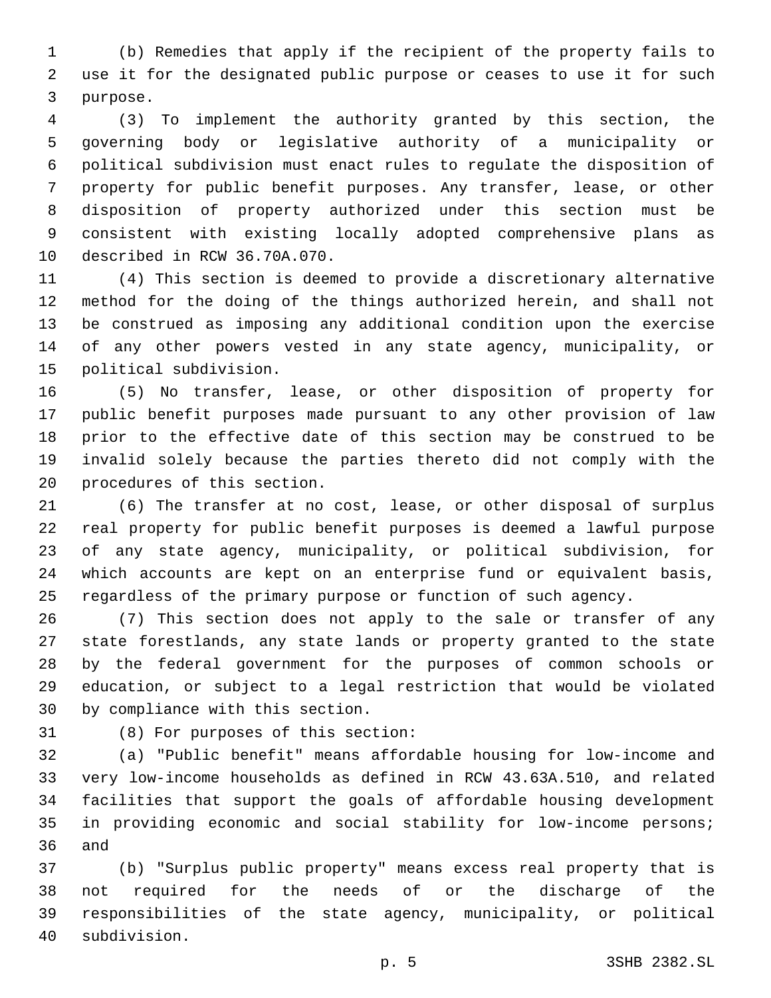(b) Remedies that apply if the recipient of the property fails to use it for the designated public purpose or ceases to use it for such 3 purpose.

 (3) To implement the authority granted by this section, the governing body or legislative authority of a municipality or political subdivision must enact rules to regulate the disposition of property for public benefit purposes. Any transfer, lease, or other disposition of property authorized under this section must be consistent with existing locally adopted comprehensive plans as 10 described in RCW 36.70A.070.

 (4) This section is deemed to provide a discretionary alternative method for the doing of the things authorized herein, and shall not be construed as imposing any additional condition upon the exercise of any other powers vested in any state agency, municipality, or 15 political subdivision.

 (5) No transfer, lease, or other disposition of property for public benefit purposes made pursuant to any other provision of law prior to the effective date of this section may be construed to be invalid solely because the parties thereto did not comply with the 20 procedures of this section.

 (6) The transfer at no cost, lease, or other disposal of surplus real property for public benefit purposes is deemed a lawful purpose of any state agency, municipality, or political subdivision, for which accounts are kept on an enterprise fund or equivalent basis, regardless of the primary purpose or function of such agency.

 (7) This section does not apply to the sale or transfer of any state forestlands, any state lands or property granted to the state by the federal government for the purposes of common schools or education, or subject to a legal restriction that would be violated 30 by compliance with this section.

31 (8) For purposes of this section:

 (a) "Public benefit" means affordable housing for low-income and very low-income households as defined in RCW 43.63A.510, and related facilities that support the goals of affordable housing development in providing economic and social stability for low-income persons; 36 and

 (b) "Surplus public property" means excess real property that is not required for the needs of or the discharge of the responsibilities of the state agency, municipality, or political subdivision.40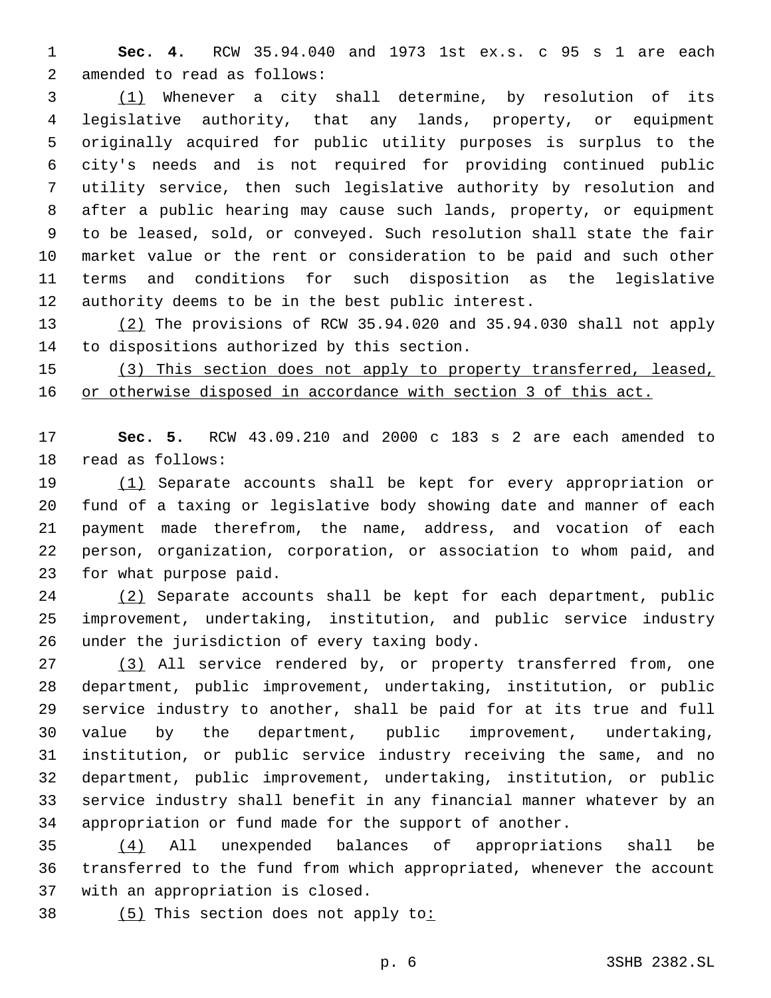**Sec. 4.** RCW 35.94.040 and 1973 1st ex.s. c 95 s 1 are each 2 amended to read as follows:

 (1) Whenever a city shall determine, by resolution of its legislative authority, that any lands, property, or equipment originally acquired for public utility purposes is surplus to the city's needs and is not required for providing continued public utility service, then such legislative authority by resolution and after a public hearing may cause such lands, property, or equipment to be leased, sold, or conveyed. Such resolution shall state the fair market value or the rent or consideration to be paid and such other terms and conditions for such disposition as the legislative authority deems to be in the best public interest.

 (2) The provisions of RCW 35.94.020 and 35.94.030 shall not apply 14 to dispositions authorized by this section.

 (3) This section does not apply to property transferred, leased, or otherwise disposed in accordance with section 3 of this act.

 **Sec. 5.** RCW 43.09.210 and 2000 c 183 s 2 are each amended to 18 read as follows:

 (1) Separate accounts shall be kept for every appropriation or fund of a taxing or legislative body showing date and manner of each payment made therefrom, the name, address, and vocation of each person, organization, corporation, or association to whom paid, and 23 for what purpose paid.

 (2) Separate accounts shall be kept for each department, public improvement, undertaking, institution, and public service industry 26 under the jurisdiction of every taxing body.

 (3) All service rendered by, or property transferred from, one department, public improvement, undertaking, institution, or public service industry to another, shall be paid for at its true and full value by the department, public improvement, undertaking, institution, or public service industry receiving the same, and no department, public improvement, undertaking, institution, or public service industry shall benefit in any financial manner whatever by an appropriation or fund made for the support of another.

 (4) All unexpended balances of appropriations shall be transferred to the fund from which appropriated, whenever the account 37 with an appropriation is closed.

38 (5) This section does not apply to: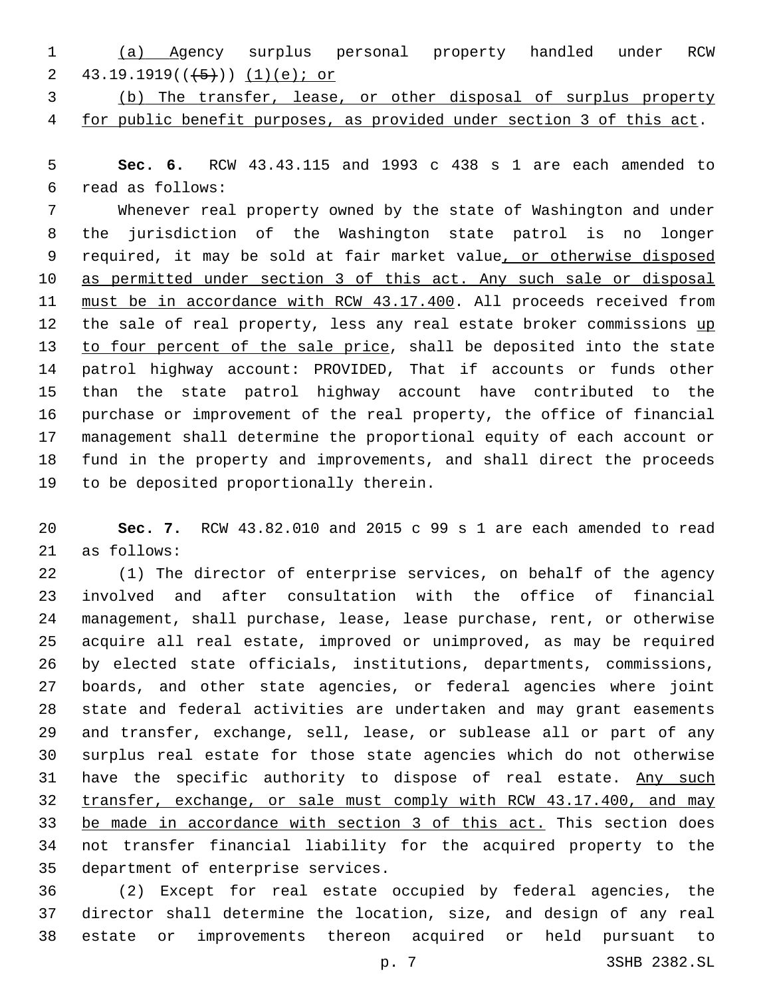- (a) Agency surplus personal property handled under RCW 2 43.19.1919( $(\frac{5}{1})$ ) (1)(e); or
- (b) The transfer, lease, or other disposal of surplus property for public benefit purposes, as provided under section 3 of this act.

 **Sec. 6.** RCW 43.43.115 and 1993 c 438 s 1 are each amended to read as follows:6

 Whenever real property owned by the state of Washington and under the jurisdiction of the Washington state patrol is no longer required, it may be sold at fair market value, or otherwise disposed as permitted under section 3 of this act. Any such sale or disposal 11 must be in accordance with RCW 43.17.400. All proceeds received from 12 the sale of real property, less any real estate broker commissions up 13 to four percent of the sale price, shall be deposited into the state patrol highway account: PROVIDED, That if accounts or funds other than the state patrol highway account have contributed to the purchase or improvement of the real property, the office of financial management shall determine the proportional equity of each account or fund in the property and improvements, and shall direct the proceeds 19 to be deposited proportionally therein.

 **Sec. 7.** RCW 43.82.010 and 2015 c 99 s 1 are each amended to read 21 as follows:

 (1) The director of enterprise services, on behalf of the agency involved and after consultation with the office of financial management, shall purchase, lease, lease purchase, rent, or otherwise acquire all real estate, improved or unimproved, as may be required by elected state officials, institutions, departments, commissions, boards, and other state agencies, or federal agencies where joint state and federal activities are undertaken and may grant easements and transfer, exchange, sell, lease, or sublease all or part of any surplus real estate for those state agencies which do not otherwise 31 have the specific authority to dispose of real estate. Any such transfer, exchange, or sale must comply with RCW 43.17.400, and may be made in accordance with section 3 of this act. This section does not transfer financial liability for the acquired property to the 35 department of enterprise services.

 (2) Except for real estate occupied by federal agencies, the director shall determine the location, size, and design of any real estate or improvements thereon acquired or held pursuant to

p. 7 3SHB 2382.SL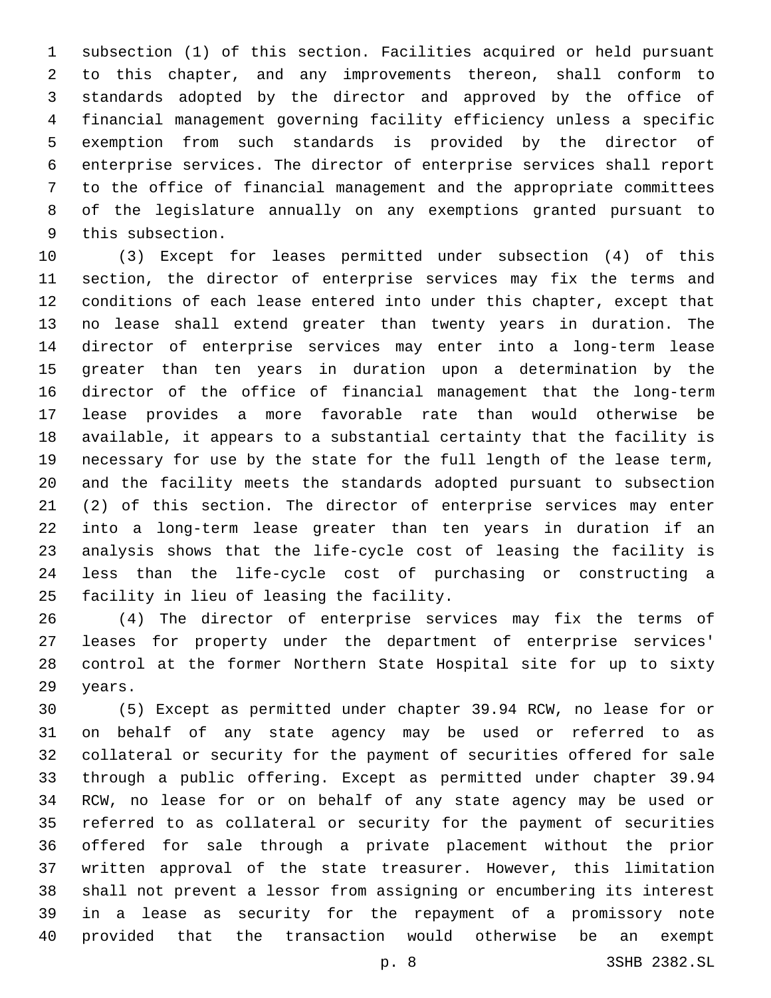subsection (1) of this section. Facilities acquired or held pursuant to this chapter, and any improvements thereon, shall conform to standards adopted by the director and approved by the office of financial management governing facility efficiency unless a specific exemption from such standards is provided by the director of enterprise services. The director of enterprise services shall report to the office of financial management and the appropriate committees of the legislature annually on any exemptions granted pursuant to 9 this subsection.

 (3) Except for leases permitted under subsection (4) of this section, the director of enterprise services may fix the terms and conditions of each lease entered into under this chapter, except that no lease shall extend greater than twenty years in duration. The director of enterprise services may enter into a long-term lease greater than ten years in duration upon a determination by the director of the office of financial management that the long-term lease provides a more favorable rate than would otherwise be available, it appears to a substantial certainty that the facility is necessary for use by the state for the full length of the lease term, and the facility meets the standards adopted pursuant to subsection (2) of this section. The director of enterprise services may enter into a long-term lease greater than ten years in duration if an analysis shows that the life-cycle cost of leasing the facility is less than the life-cycle cost of purchasing or constructing a 25 facility in lieu of leasing the facility.

 (4) The director of enterprise services may fix the terms of leases for property under the department of enterprise services' control at the former Northern State Hospital site for up to sixty 29 years.

 (5) Except as permitted under chapter 39.94 RCW, no lease for or on behalf of any state agency may be used or referred to as collateral or security for the payment of securities offered for sale through a public offering. Except as permitted under chapter 39.94 RCW, no lease for or on behalf of any state agency may be used or referred to as collateral or security for the payment of securities offered for sale through a private placement without the prior written approval of the state treasurer. However, this limitation shall not prevent a lessor from assigning or encumbering its interest in a lease as security for the repayment of a promissory note provided that the transaction would otherwise be an exempt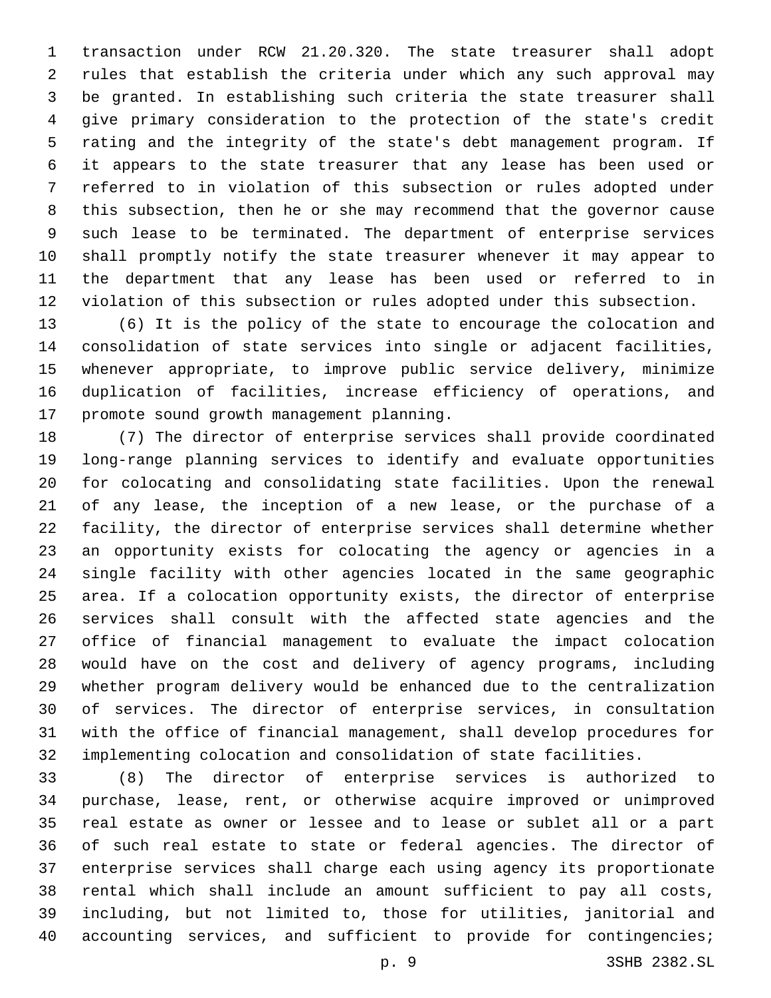transaction under RCW 21.20.320. The state treasurer shall adopt rules that establish the criteria under which any such approval may be granted. In establishing such criteria the state treasurer shall give primary consideration to the protection of the state's credit rating and the integrity of the state's debt management program. If it appears to the state treasurer that any lease has been used or referred to in violation of this subsection or rules adopted under this subsection, then he or she may recommend that the governor cause such lease to be terminated. The department of enterprise services shall promptly notify the state treasurer whenever it may appear to the department that any lease has been used or referred to in violation of this subsection or rules adopted under this subsection.

 (6) It is the policy of the state to encourage the colocation and consolidation of state services into single or adjacent facilities, whenever appropriate, to improve public service delivery, minimize duplication of facilities, increase efficiency of operations, and 17 promote sound growth management planning.

 (7) The director of enterprise services shall provide coordinated long-range planning services to identify and evaluate opportunities for colocating and consolidating state facilities. Upon the renewal of any lease, the inception of a new lease, or the purchase of a facility, the director of enterprise services shall determine whether an opportunity exists for colocating the agency or agencies in a single facility with other agencies located in the same geographic area. If a colocation opportunity exists, the director of enterprise services shall consult with the affected state agencies and the office of financial management to evaluate the impact colocation would have on the cost and delivery of agency programs, including whether program delivery would be enhanced due to the centralization of services. The director of enterprise services, in consultation with the office of financial management, shall develop procedures for implementing colocation and consolidation of state facilities.

 (8) The director of enterprise services is authorized to purchase, lease, rent, or otherwise acquire improved or unimproved real estate as owner or lessee and to lease or sublet all or a part of such real estate to state or federal agencies. The director of enterprise services shall charge each using agency its proportionate rental which shall include an amount sufficient to pay all costs, including, but not limited to, those for utilities, janitorial and 40 accounting services, and sufficient to provide for contingencies;

p. 9 3SHB 2382.SL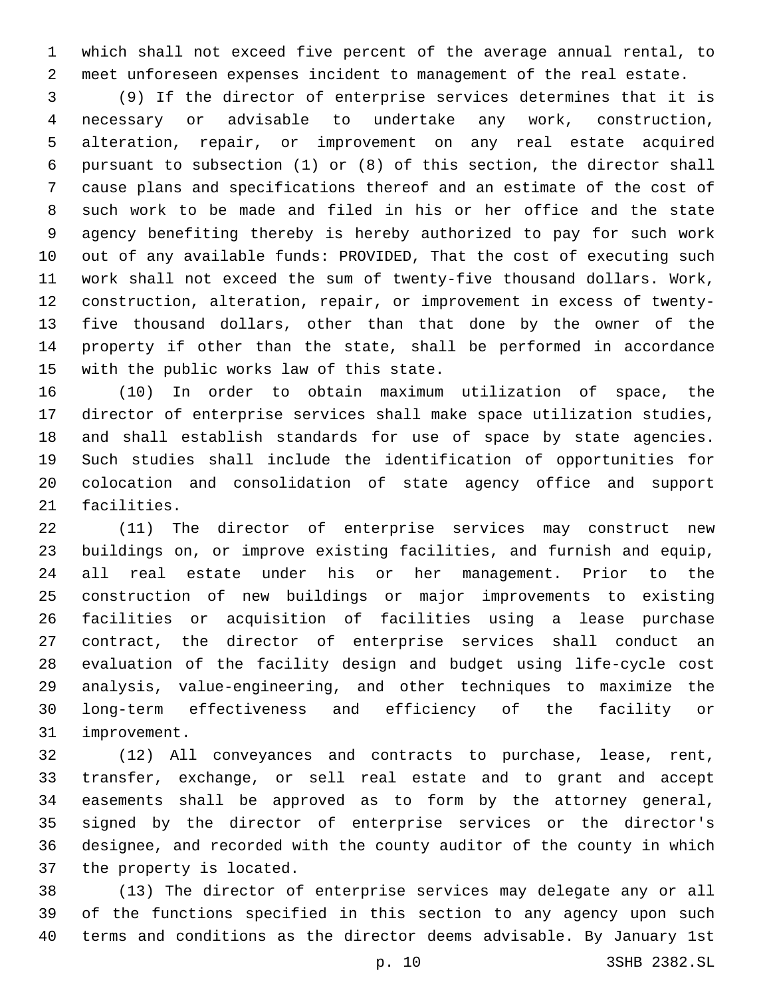which shall not exceed five percent of the average annual rental, to meet unforeseen expenses incident to management of the real estate.

 (9) If the director of enterprise services determines that it is necessary or advisable to undertake any work, construction, alteration, repair, or improvement on any real estate acquired pursuant to subsection (1) or (8) of this section, the director shall cause plans and specifications thereof and an estimate of the cost of such work to be made and filed in his or her office and the state agency benefiting thereby is hereby authorized to pay for such work out of any available funds: PROVIDED, That the cost of executing such work shall not exceed the sum of twenty-five thousand dollars. Work, construction, alteration, repair, or improvement in excess of twenty- five thousand dollars, other than that done by the owner of the property if other than the state, shall be performed in accordance 15 with the public works law of this state.

 (10) In order to obtain maximum utilization of space, the director of enterprise services shall make space utilization studies, and shall establish standards for use of space by state agencies. Such studies shall include the identification of opportunities for colocation and consolidation of state agency office and support 21 facilities.

 (11) The director of enterprise services may construct new buildings on, or improve existing facilities, and furnish and equip, all real estate under his or her management. Prior to the construction of new buildings or major improvements to existing facilities or acquisition of facilities using a lease purchase contract, the director of enterprise services shall conduct an evaluation of the facility design and budget using life-cycle cost analysis, value-engineering, and other techniques to maximize the long-term effectiveness and efficiency of the facility or 31 improvement.

 (12) All conveyances and contracts to purchase, lease, rent, transfer, exchange, or sell real estate and to grant and accept easements shall be approved as to form by the attorney general, signed by the director of enterprise services or the director's designee, and recorded with the county auditor of the county in which 37 the property is located.

 (13) The director of enterprise services may delegate any or all of the functions specified in this section to any agency upon such terms and conditions as the director deems advisable. By January 1st

p. 10 3SHB 2382.SL